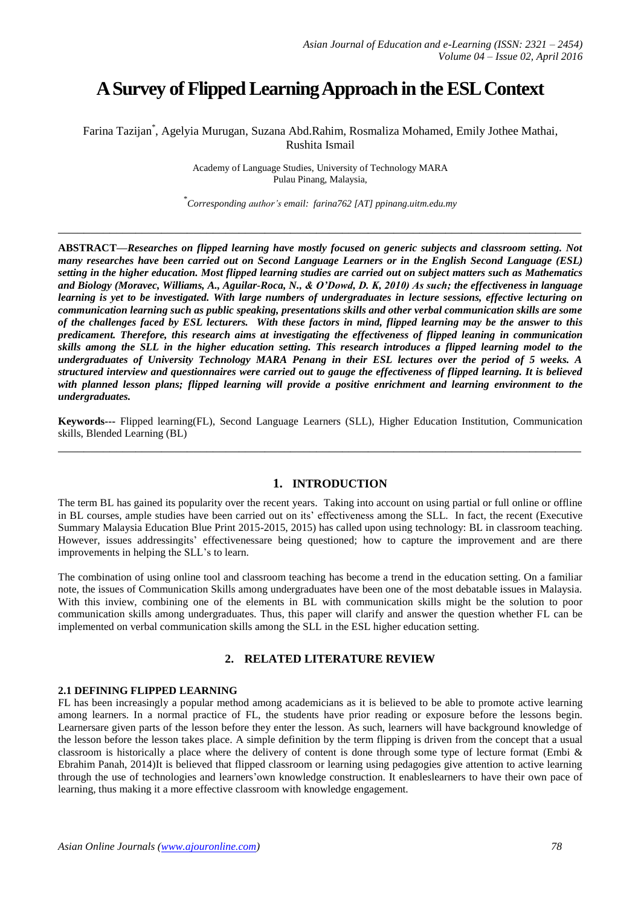# **A Survey of Flipped Learning Approach in the ESL Context**

Farina Tazijan\* , Agelyia Murugan, Suzana Abd.Rahim, Rosmaliza Mohamed, Emily Jothee Mathai, Rushita Ismail

> Academy of Language Studies, University of Technology MARA Pulau Pinang, Malaysia,

\* *Corresponding author's email: farina762 [AT] ppinang.uitm.edu.my*

**\_\_\_\_\_\_\_\_\_\_\_\_\_\_\_\_\_\_\_\_\_\_\_\_\_\_\_\_\_\_\_\_\_\_\_\_\_\_\_\_\_\_\_\_\_\_\_\_\_\_\_\_\_\_\_\_\_\_\_\_\_\_\_\_\_\_\_\_\_\_\_\_\_\_\_\_\_\_\_\_\_**

**ABSTRACT—***Researches on flipped learning have mostly focused on generic subjects and classroom setting. Not many researches have been carried out on Second Language Learners or in the English Second Language (ESL) setting in the higher education. Most flipped learning studies are carried out on subject matters such as Mathematics and Biology (Moravec, Williams, A., Aguilar-Roca, N., & O'Dowd, D. K, 2010) As such; the effectiveness in language learning is yet to be investigated. With large numbers of undergraduates in lecture sessions, effective lecturing on communication learning such as public speaking, presentations skills and other verbal communication skills are some of the challenges faced by ESL lecturers. With these factors in mind, flipped learning may be the answer to this predicament. Therefore, this research aims at investigating the effectiveness of flipped leaning in communication skills among the SLL in the higher education setting. This research introduces a flipped learning model to the undergraduates of University Technology MARA Penang in their ESL lectures over the period of 5 weeks. A structured interview and questionnaires were carried out to gauge the effectiveness of flipped learning. It is believed with planned lesson plans; flipped learning will provide a positive enrichment and learning environment to the undergraduates.*

**Keywords---** Flipped learning(FL), Second Language Learners (SLL), Higher Education Institution, Communication skills, Blended Learning (BL) **\_\_\_\_\_\_\_\_\_\_\_\_\_\_\_\_\_\_\_\_\_\_\_\_\_\_\_\_\_\_\_\_\_\_\_\_\_\_\_\_\_\_\_\_\_\_\_\_\_\_\_\_\_\_\_\_\_\_\_\_\_\_\_\_\_\_\_\_\_\_\_\_\_\_\_\_\_\_\_\_\_**

#### **1. INTRODUCTION**

The term BL has gained its popularity over the recent years. Taking into account on using partial or full online or offline in BL courses, ample studies have been carried out on its' effectiveness among the SLL. In fact, the recent (Executive Summary Malaysia Education Blue Print 2015-2015, 2015) has called upon using technology: BL in classroom teaching. However, issues addressingits' effectivenessare being questioned; how to capture the improvement and are there improvements in helping the SLL's to learn.

The combination of using online tool and classroom teaching has become a trend in the education setting. On a familiar note, the issues of Communication Skills among undergraduates have been one of the most debatable issues in Malaysia. With this inview, combining one of the elements in BL with communication skills might be the solution to poor communication skills among undergraduates. Thus, this paper will clarify and answer the question whether FL can be implemented on verbal communication skills among the SLL in the ESL higher education setting.

## **2. RELATED LITERATURE REVIEW**

#### **2.1 DEFINING FLIPPED LEARNING**

FL has been increasingly a popular method among academicians as it is believed to be able to promote active learning among learners. In a normal practice of FL, the students have prior reading or exposure before the lessons begin. Learnersare given parts of the lesson before they enter the lesson. As such, learners will have background knowledge of the lesson before the lesson takes place. A simple definition by the term flipping is driven from the concept that a usual classroom is historically a place where the delivery of content is done through some type of lecture format (Embi & Ebrahim Panah, 2014)It is believed that flipped classroom or learning using pedagogies give attention to active learning through the use of technologies and learners'own knowledge construction. It enableslearners to have their own pace of learning, thus making it a more effective classroom with knowledge engagement.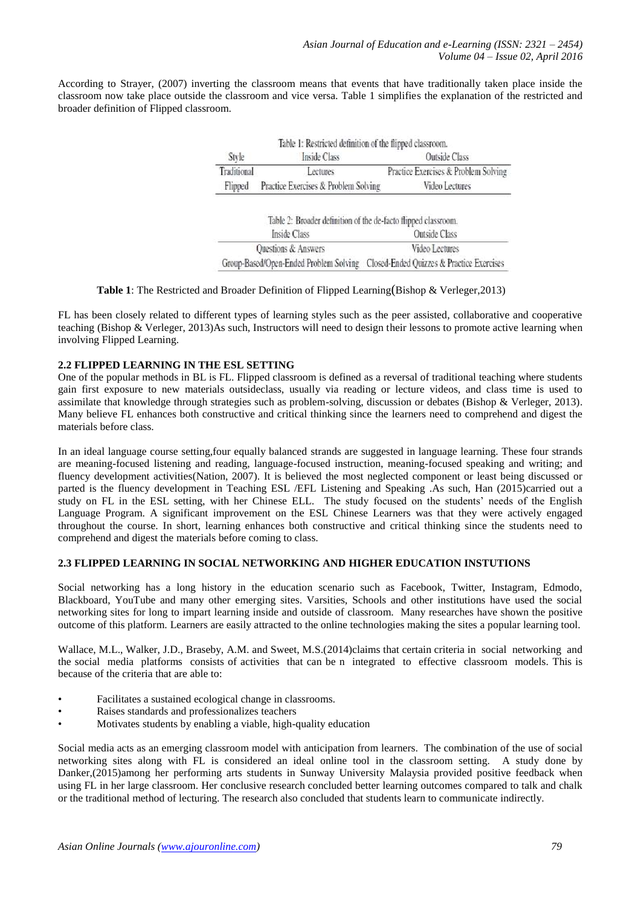According to Strayer, (2007) inverting the classroom means that events that have traditionally taken place inside the classroom now take place outside the classroom and vice versa. Table 1 simplifies the explanation of the restricted and broader definition of Flipped classroom.

| Style       | Inside Class                         | <b>Outside Class</b>                 |
|-------------|--------------------------------------|--------------------------------------|
| Traditional | Lectures                             | Practice Exercises & Problem Solving |
| Flipped     | Practice Exercises & Problem Solving | Video Lectures                       |

| Inside Class                                                                     | Outside Class  |
|----------------------------------------------------------------------------------|----------------|
| Questions & Answers                                                              | Video Lectures |
| Group-Based/Open-Ended Problem Solving Closed-Ended Quizzes & Practice Exercises |                |

#### **Table 1**: The Restricted and Broader Definition of Flipped Learning(Bishop & Verleger,2013)

FL has been closely related to different types of learning styles such as the peer assisted, collaborative and cooperative teaching (Bishop & Verleger, 2013)As such, Instructors will need to design their lessons to promote active learning when involving Flipped Learning.

#### **2.2 FLIPPED LEARNING IN THE ESL SETTING**

One of the popular methods in BL is FL. Flipped classroom is defined as a reversal of traditional teaching where students gain first exposure to new materials outsideclass, usually via reading or lecture videos, and class time is used to assimilate that knowledge through strategies such as problem-solving, discussion or debates (Bishop & Verleger, 2013). Many believe FL enhances both constructive and critical thinking since the learners need to comprehend and digest the materials before class.

In an ideal language course setting,four equally balanced strands are suggested in language learning. These four strands are meaning-focused listening and reading, language-focused instruction, meaning-focused speaking and writing; and fluency development activities(Nation, 2007). It is believed the most neglected component or least being discussed or parted is the fluency development in Teaching ESL /EFL Listening and Speaking .As such, Han (2015)carried out a study on FL in the ESL setting, with her Chinese ELL. The study focused on the students' needs of the English Language Program. A significant improvement on the ESL Chinese Learners was that they were actively engaged throughout the course. In short, learning enhances both constructive and critical thinking since the students need to comprehend and digest the materials before coming to class.

## **2.3 FLIPPED LEARNING IN SOCIAL NETWORKING AND HIGHER EDUCATION INSTUTIONS**

Social networking has a long history in the education scenario such as Facebook, Twitter, Instagram, Edmodo, Blackboard, YouTube and many other emerging sites. Varsities, Schools and other institutions have used the social networking sites for long to impart learning inside and outside of classroom. Many researches have shown the positive outcome of this platform. Learners are easily attracted to the online technologies making the sites a popular learning tool.

Wallace, M.L., Walker, J.D., Braseby, A.M. and Sweet, M.S.(2014)claims that certain criteria in social networking and the social media platforms consists of activities that can be n integrated to effective classroom models. This is because of the criteria that are able to:

- Facilitates a sustained ecological change in classrooms.
- Raises standards and professionalizes teachers
- Motivates students by enabling a viable, high-quality education

Social media acts as an emerging classroom model with anticipation from learners. The combination of the use of social networking sites along with FL is considered an ideal online tool in the classroom setting. A study done by Danker,(2015)among her performing arts students in Sunway University Malaysia provided positive feedback when using FL in her large classroom. Her conclusive research concluded better learning outcomes compared to talk and chalk or the traditional method of lecturing. The research also concluded that students learn to communicate indirectly.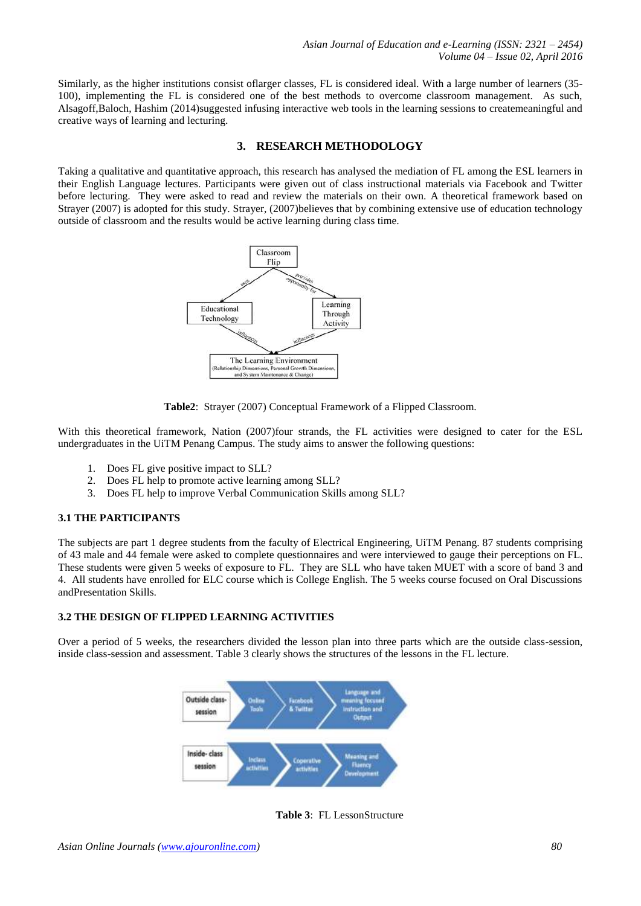Similarly, as the higher institutions consist oflarger classes, FL is considered ideal. With a large number of learners (35- 100), implementing the FL is considered one of the best methods to overcome classroom management. As such, Alsagoff,Baloch, Hashim (2014)suggested infusing interactive web tools in the learning sessions to createmeaningful and creative ways of learning and lecturing.

## **3. RESEARCH METHODOLOGY**

Taking a qualitative and quantitative approach, this research has analysed the mediation of FL among the ESL learners in their English Language lectures. Participants were given out of class instructional materials via Facebook and Twitter before lecturing. They were asked to read and review the materials on their own. A theoretical framework based on Strayer (2007) is adopted for this study. Strayer, (2007)believes that by combining extensive use of education technology outside of classroom and the results would be active learning during class time.



**Table2**: Strayer (2007) Conceptual Framework of a Flipped Classroom.

With this theoretical framework, Nation (2007)four strands, the FL activities were designed to cater for the ESL undergraduates in the UiTM Penang Campus. The study aims to answer the following questions:

- 1. Does FL give positive impact to SLL?
- 2. Does FL help to promote active learning among SLL?
- 3. Does FL help to improve Verbal Communication Skills among SLL?

## **3.1 THE PARTICIPANTS**

The subjects are part 1 degree students from the faculty of Electrical Engineering, UiTM Penang. 87 students comprising of 43 male and 44 female were asked to complete questionnaires and were interviewed to gauge their perceptions on FL. These students were given 5 weeks of exposure to FL. They are SLL who have taken MUET with a score of band 3 and 4. All students have enrolled for ELC course which is College English. The 5 weeks course focused on Oral Discussions andPresentation Skills.

## **3.2 THE DESIGN OF FLIPPED LEARNING ACTIVITIES**

Over a period of 5 weeks, the researchers divided the lesson plan into three parts which are the outside class-session, inside class-session and assessment. Table 3 clearly shows the structures of the lessons in the FL lecture.



**Table 3**: FL LessonStructure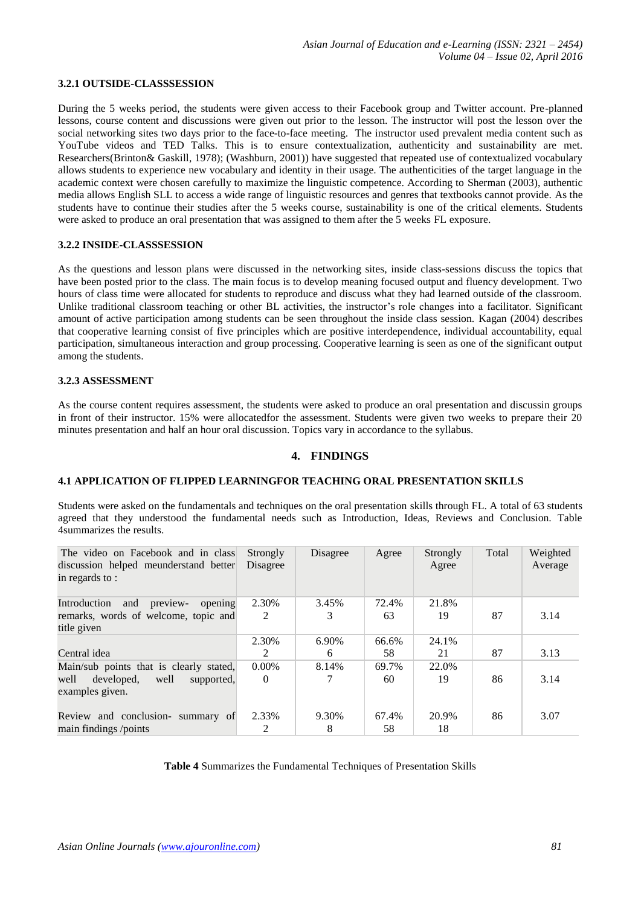#### **3.2.1 OUTSIDE-CLASSSESSION**

During the 5 weeks period, the students were given access to their Facebook group and Twitter account. Pre-planned lessons, course content and discussions were given out prior to the lesson. The instructor will post the lesson over the social networking sites two days prior to the face-to-face meeting. The instructor used prevalent media content such as YouTube videos and TED Talks. This is to ensure contextualization, authenticity and sustainability are met. Researchers(Brinton& Gaskill, 1978); (Washburn, 2001)) have suggested that repeated use of contextualized vocabulary allows students to experience new vocabulary and identity in their usage. The authenticities of the target language in the academic context were chosen carefully to maximize the linguistic competence. According to Sherman (2003), authentic media allows English SLL to access a wide range of linguistic resources and genres that textbooks cannot provide. As the students have to continue their studies after the 5 weeks course, sustainability is one of the critical elements. Students were asked to produce an oral presentation that was assigned to them after the 5 weeks FL exposure.

#### **3.2.2 INSIDE-CLASSSESSION**

As the questions and lesson plans were discussed in the networking sites, inside class-sessions discuss the topics that have been posted prior to the class. The main focus is to develop meaning focused output and fluency development. Two hours of class time were allocated for students to reproduce and discuss what they had learned outside of the classroom. Unlike traditional classroom teaching or other BL activities, the instructor's role changes into a facilitator. Significant amount of active participation among students can be seen throughout the inside class session. Kagan (2004) describes that cooperative learning consist of five principles which are positive interdependence, individual accountability, equal participation, simultaneous interaction and group processing. Cooperative learning is seen as one of the significant output among the students.

#### **3.2.3 ASSESSMENT**

As the course content requires assessment, the students were asked to produce an oral presentation and discussin groups in front of their instructor. 15% were allocatedfor the assessment. Students were given two weeks to prepare their 20 minutes presentation and half an hour oral discussion. Topics vary in accordance to the syllabus.

## **4. FINDINGS**

#### **4.1 APPLICATION OF FLIPPED LEARNINGFOR TEACHING ORAL PRESENTATION SKILLS**

Students were asked on the fundamentals and techniques on the oral presentation skills through FL. A total of 63 students agreed that they understood the fundamental needs such as Introduction, Ideas, Reviews and Conclusion. Table 4summarizes the results.

| The video on Facebook and in class<br>discussion helped meunderstand better<br>in regards to : | Strongly<br>Disagree | Disagree | Agree | Strongly<br>Agree | Total | Weighted<br>Average |
|------------------------------------------------------------------------------------------------|----------------------|----------|-------|-------------------|-------|---------------------|
| opening<br>preview-<br>Introduction<br>and                                                     | 2.30%                | 3.45%    | 72.4% | 21.8%             |       |                     |
| remarks, words of welcome, topic and<br>title given                                            | 2                    | 3        | 63    | 19                | 87    | 3.14                |
|                                                                                                | 2.30%                | 6.90%    | 66.6% | 24.1%             |       |                     |
| Central idea                                                                                   | $\mathfrak{D}$       | 6        | 58    | 21                | 87    | 3.13                |
| Main/sub points that is clearly stated,                                                        | $0.00\%$             | 8.14%    | 69.7% | 22.0%             |       |                     |
| well<br>well<br>developed,<br>supported,<br>examples given.                                    | $\Omega$             |          | 60    | 19                | 86    | 3.14                |
| Review and conclusion- summary of                                                              | 2.33%                | 9.30%    | 67.4% | 20.9%             | 86    | 3.07                |
| main findings /points                                                                          | 2                    | 8        | 58    | 18                |       |                     |

## **Table 4** Summarizes the Fundamental Techniques of Presentation Skills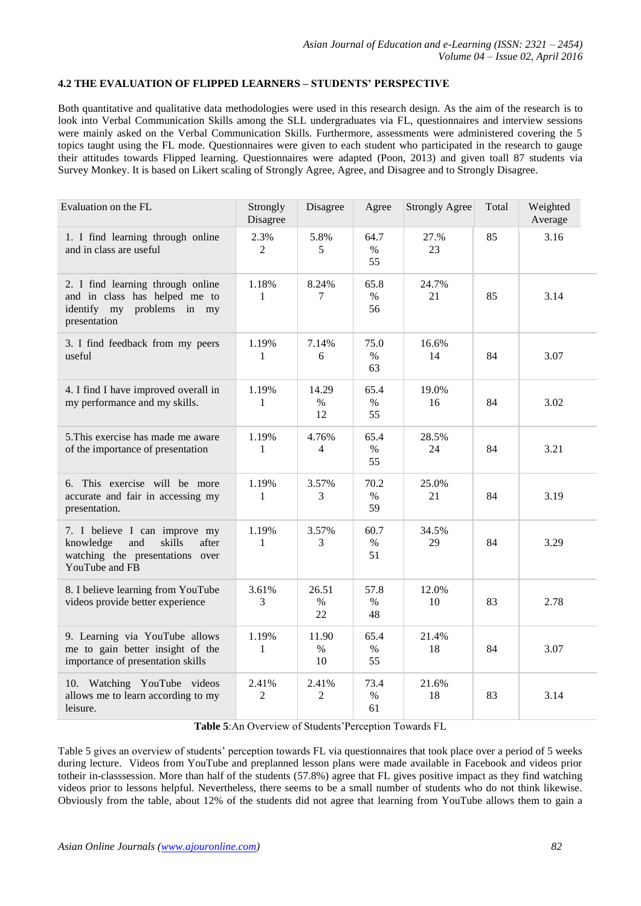## **4.2 THE EVALUATION OF FLIPPED LEARNERS – STUDENTS' PERSPECTIVE**

Both quantitative and qualitative data methodologies were used in this research design. As the aim of the research is to look into Verbal Communication Skills among the SLL undergraduates via FL, questionnaires and interview sessions were mainly asked on the Verbal Communication Skills. Furthermore, assessments were administered covering the 5 topics taught using the FL mode. Questionnaires were given to each student who participated in the research to gauge their attitudes towards Flipped learning. Questionnaires were adapted (Poon, 2013) and given toall 87 students via Survey Monkey. It is based on Likert scaling of Strongly Agree, Agree, and Disagree and to Strongly Disagree.

| Evaluation on the FL                                                                                                      | Strongly<br>Disagree   | Disagree            | Agree              | <b>Strongly Agree</b> | Total | Weighted<br>Average |
|---------------------------------------------------------------------------------------------------------------------------|------------------------|---------------------|--------------------|-----------------------|-------|---------------------|
| 1. I find learning through online<br>and in class are useful                                                              | 2.3%<br>$\overline{2}$ | 5.8%<br>5           | 64.7<br>$\%$<br>55 | 27.%<br>23            | 85    | 3.16                |
| 2. I find learning through online<br>and in class has helped me to<br>identify my problems in my<br>presentation          | 1.18%<br>$\mathbf{1}$  | 8.24%<br>7          | 65.8<br>$\%$<br>56 | 24.7%<br>21           | 85    | 3.14                |
| 3. I find feedback from my peers<br>useful                                                                                | 1.19%<br>$\mathbf{1}$  | 7.14%<br>6          | 75.0<br>$\%$<br>63 | 16.6%<br>14           | 84    | 3.07                |
| 4. I find I have improved overall in<br>my performance and my skills.                                                     | 1.19%<br>$\mathbf{1}$  | 14.29<br>$\%$<br>12 | 65.4<br>$\%$<br>55 | 19.0%<br>16           | 84    | 3.02                |
| 5. This exercise has made me aware<br>of the importance of presentation                                                   | 1.19%<br>1             | 4.76%<br>4          | 65.4<br>$\%$<br>55 | 28.5%<br>24           | 84    | 3.21                |
| 6. This exercise will be more<br>accurate and fair in accessing my<br>presentation.                                       | 1.19%<br>$\mathbf{1}$  | 3.57%<br>3          | 70.2<br>$\%$<br>59 | 25.0%<br>21           | 84    | 3.19                |
| 7. I believe I can improve my<br>knowledge<br>and<br>skills<br>after<br>watching the presentations over<br>YouTube and FB | 1.19%<br>1             | 3.57%<br>3          | 60.7<br>$\%$<br>51 | 34.5%<br>29           | 84    | 3.29                |
| 8. I believe learning from YouTube<br>videos provide better experience                                                    | 3.61%<br>3             | 26.51<br>$\%$<br>22 | 57.8<br>$\%$<br>48 | 12.0%<br>10           | 83    | 2.78                |
| 9. Learning via YouTube allows<br>me to gain better insight of the<br>importance of presentation skills                   | 1.19%<br>1             | 11.90<br>$\%$<br>10 | 65.4<br>$\%$<br>55 | 21.4%<br>18           | 84    | 3.07                |
| 10. Watching YouTube videos<br>allows me to learn according to my<br>leisure.                                             | 2.41%<br>$\mathbf{2}$  | 2.41%<br>2          | 73.4<br>$\%$<br>61 | 21.6%<br>18           | 83    | 3.14                |

## **Table 5**:An Overview of Students'Perception Towards FL

Table 5 gives an overview of students' perception towards FL via questionnaires that took place over a period of 5 weeks during lecture. Videos from YouTube and preplanned lesson plans were made available in Facebook and videos prior totheir in-classsession. More than half of the students (57.8%) agree that FL gives positive impact as they find watching videos prior to lessons helpful. Nevertheless, there seems to be a small number of students who do not think likewise. Obviously from the table, about 12% of the students did not agree that learning from YouTube allows them to gain a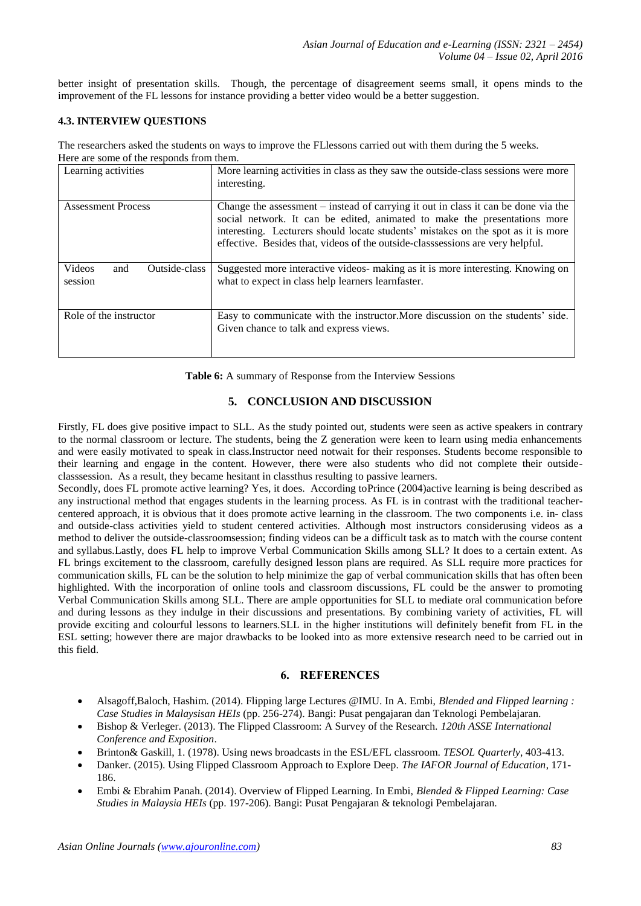better insight of presentation skills. Though, the percentage of disagreement seems small, it opens minds to the improvement of the FL lessons for instance providing a better video would be a better suggestion.

## **4.3. INTERVIEW QUESTIONS**

The researchers asked the students on ways to improve the FLlessons carried out with them during the 5 weeks. Here are some of the responds from them.

| Learning activities                              | More learning activities in class as they saw the outside-class sessions were more<br>interesting.                                                                                                                                                                                                                                     |
|--------------------------------------------------|----------------------------------------------------------------------------------------------------------------------------------------------------------------------------------------------------------------------------------------------------------------------------------------------------------------------------------------|
| <b>Assessment Process</b>                        | Change the assessment – instead of carrying it out in class it can be done via the<br>social network. It can be edited, animated to make the presentations more<br>interesting. Lecturers should locate students' mistakes on the spot as it is more<br>effective. Besides that, videos of the outside-classsessions are very helpful. |
| Outside-class<br><b>Videos</b><br>and<br>session | Suggested more interactive videos- making as it is more interesting. Knowing on<br>what to expect in class help learners learnfaster.                                                                                                                                                                                                  |
| Role of the instructor                           | Easy to communicate with the instructor. More discussion on the students' side.<br>Given chance to talk and express views.                                                                                                                                                                                                             |

**Table 6:** A summary of Response from the Interview Sessions

## **5. CONCLUSION AND DISCUSSION**

Firstly, FL does give positive impact to SLL. As the study pointed out, students were seen as active speakers in contrary to the normal classroom or lecture. The students, being the Z generation were keen to learn using media enhancements and were easily motivated to speak in class.Instructor need notwait for their responses. Students become responsible to their learning and engage in the content. However, there were also students who did not complete their outsideclasssession. As a result, they became hesitant in classthus resulting to passive learners.

Secondly, does FL promote active learning? Yes, it does. According toPrince (2004)active learning is being described as any instructional method that engages students in the learning process. As FL is in contrast with the traditional teachercentered approach, it is obvious that it does promote active learning in the classroom. The two components i.e. in- class and outside-class activities yield to student centered activities. Although most instructors considerusing videos as a method to deliver the outside-classroomsession; finding videos can be a difficult task as to match with the course content and syllabus.Lastly, does FL help to improve Verbal Communication Skills among SLL? It does to a certain extent. As FL brings excitement to the classroom, carefully designed lesson plans are required. As SLL require more practices for communication skills, FL can be the solution to help minimize the gap of verbal communication skills that has often been highlighted. With the incorporation of online tools and classroom discussions, FL could be the answer to promoting Verbal Communication Skills among SLL. There are ample opportunities for SLL to mediate oral communication before and during lessons as they indulge in their discussions and presentations. By combining variety of activities, FL will provide exciting and colourful lessons to learners.SLL in the higher institutions will definitely benefit from FL in the ESL setting; however there are major drawbacks to be looked into as more extensive research need to be carried out in this field.

## **6. REFERENCES**

- Alsagoff,Baloch, Hashim. (2014). Flipping large Lectures @IMU. In A. Embi, *Blended and Flipped learning : Case Studies in Malaysisan HEIs* (pp. 256-274). Bangi: Pusat pengajaran dan Teknologi Pembelajaran.
- Bishop & Verleger. (2013). The Flipped Classroom: A Survey of the Research. *120th ASSE International Conference and Exposition*.
- Brinton& Gaskill, 1. (1978). Using news broadcasts in the ESL/EFL classroom. *TESOL Quarterly*, 403-413.
- Danker. (2015). Using Flipped Classroom Approach to Explore Deep. *The IAFOR Journal of Education*, 171- 186.
- Embi & Ebrahim Panah. (2014). Overview of Flipped Learning. In Embi, *Blended & Flipped Learning: Case Studies in Malaysia HEIs* (pp. 197-206). Bangi: Pusat Pengajaran & teknologi Pembelajaran.